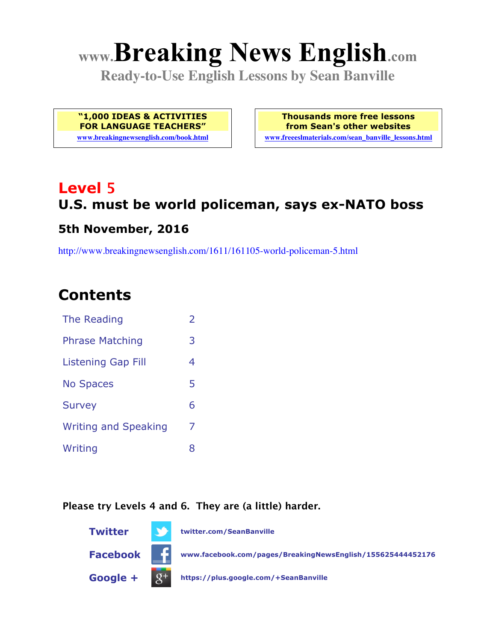# **www.Breaking News English.com**

**Ready-to-Use English Lessons by Sean Banville**

**"1,000 IDEAS & ACTIVITIES FOR LANGUAGE TEACHERS"**

**www.breakingnewsenglish.com/book.html**

**Thousands more free lessons from Sean's other websites www.freeeslmaterials.com/sean\_banville\_lessons.html**

# **Level 5 U.S. must be world policeman, says ex-NATO boss**

#### **5th November, 2016**

http://www.breakingnewsenglish.com/1611/161105-world-policeman-5.html

### **Contents**

| The Reading                 | $\overline{2}$ |
|-----------------------------|----------------|
| <b>Phrase Matching</b>      | 3              |
| <b>Listening Gap Fill</b>   | 4              |
| <b>No Spaces</b>            | 5              |
| <b>Survey</b>               | 6              |
| <b>Writing and Speaking</b> | 7              |
| Writing                     | 8              |

#### **Please try Levels 4 and 6. They are (a little) harder.**

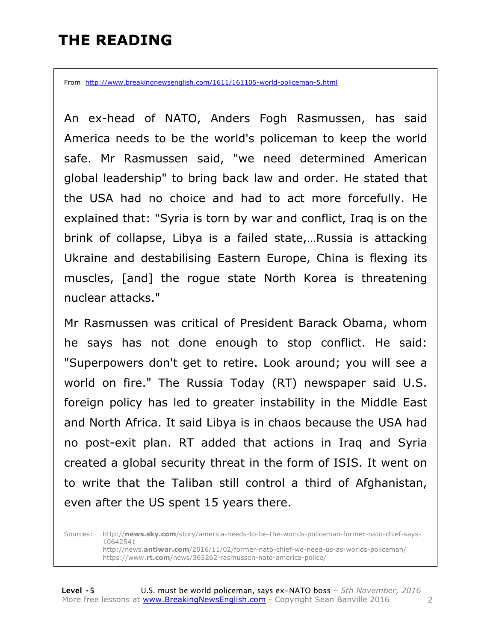### **THE READING**

From http://www.breakingnewsenglish.com/1611/161105-world-policeman-5.html

An ex-head of NATO, Anders Fogh Rasmussen, has said America needs to be the world's policeman to keep the world safe. Mr Rasmussen said, "we need determined American global leadership" to bring back law and order. He stated that the USA had no choice and had to act more forcefully. He explained that: "Syria is torn by war and conflict, Iraq is on the brink of collapse, Libya is a failed state,…Russia is attacking Ukraine and destabilising Eastern Europe, China is flexing its muscles, [and] the rogue state North Korea is threatening nuclear attacks."

Mr Rasmussen was critical of President Barack Obama, whom he says has not done enough to stop conflict. He said: "Superpowers don't get to retire. Look around; you will see a world on fire." The Russia Today (RT) newspaper said U.S. foreign policy has led to greater instability in the Middle East and North Africa. It said Libya is in chaos because the USA had no post-exit plan. RT added that actions in Iraq and Syria created a global security threat in the form of ISIS. It went on to write that the Taliban still control a third of Afghanistan, even after the US spent 15 years there.

Sources: http://**news.sky.com**/story/america-needs-to-be-the-worlds-policeman-former-nato-chief-says-10642541 http://news.**antiwar.com**/2016/11/02/former-nato-chief-we-need-us-as-worlds-policeman/ https://www.**rt.com**/news/365262-rasmussen-nato-america-police/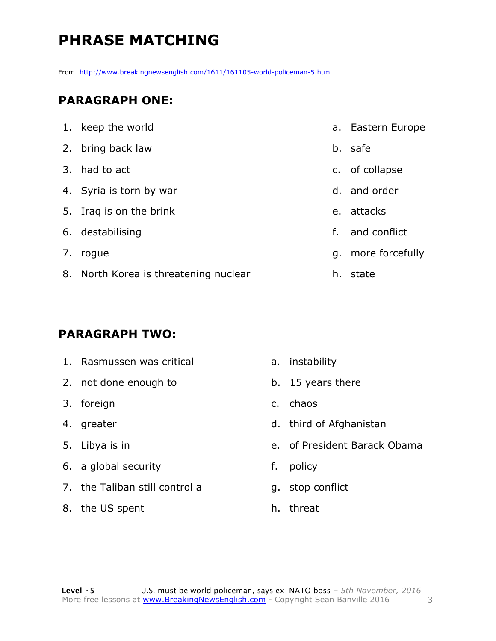# **PHRASE MATCHING**

From http://www.breakingnewsenglish.com/1611/161105-world-policeman-5.html

#### **PARAGRAPH ONE:**

| 1. keep the world                     |    | a. Eastern Europe  |
|---------------------------------------|----|--------------------|
| 2. bring back law                     |    | b. safe            |
| 3. had to act                         |    | c. of collapse     |
| 4. Syria is torn by war               |    | d. and order       |
| 5. Iraq is on the brink               | e. | attacks            |
| 6. destabilising                      | f. | and conflict       |
| 7. rogue                              |    | g. more forcefully |
| 8. North Korea is threatening nuclear |    | h. state           |

#### **PARAGRAPH TWO:**

- 1. Rasmussen was critical
- 2. not done enough to
- 3. foreign
- 4. greater
- 5. Libya is in
- 6. a global security
- 7. the Taliban still control a
- 8. the US spent
- a. instability
- b. 15 years there
- c. chaos
- d. third of Afghanistan
- e. of President Barack Obama
- f. policy
- g. stop conflict
- h. threat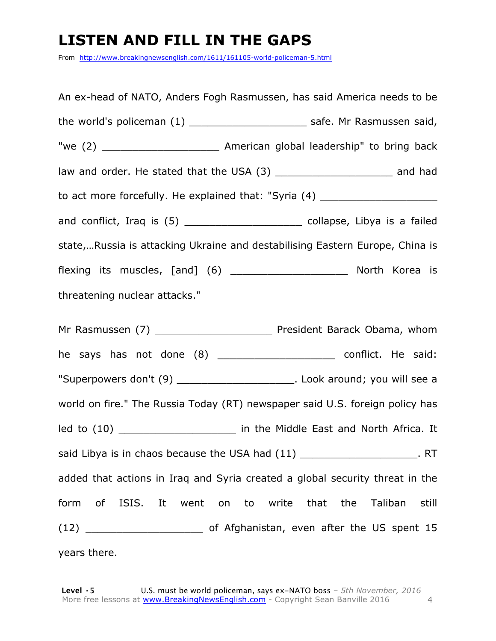### **LISTEN AND FILL IN THE GAPS**

From http://www.breakingnewsenglish.com/1611/161105-world-policeman-5.html

An ex-head of NATO, Anders Fogh Rasmussen, has said America needs to be the world's policeman (1) \_\_\_\_\_\_\_\_\_\_\_\_\_\_\_\_\_\_\_\_\_\_\_\_\_ safe. Mr Rasmussen said, "we (2) \_\_\_\_\_\_\_\_\_\_\_\_\_\_\_\_\_\_\_ American global leadership" to bring back law and order. He stated that the USA (3) \_\_\_\_\_\_\_\_\_\_\_\_\_\_\_\_\_\_\_\_\_\_\_\_\_\_\_ and had to act more forcefully. He explained that: "Syria (4) and conflict, Iraq is (5) \_\_\_\_\_\_\_\_\_\_\_\_\_\_\_\_\_\_\_\_\_\_\_\_ collapse, Libya is a failed state,…Russia is attacking Ukraine and destabilising Eastern Europe, China is flexing its muscles, [and] (6) \_\_\_\_\_\_\_\_\_\_\_\_\_\_\_\_\_\_\_ North Korea is threatening nuclear attacks."

Mr Rasmussen (7) **Mr Rasmussen** (7) **Resident Barack Obama, whom** he says has not done (8) \_\_\_\_\_\_\_\_\_\_\_\_\_\_\_\_\_\_\_\_\_\_ conflict. He said: "Superpowers don't (9) \_\_\_\_\_\_\_\_\_\_\_\_\_\_\_\_\_\_\_. Look around; you will see a world on fire." The Russia Today (RT) newspaper said U.S. foreign policy has led to (10) The Middle East and North Africa. It said Libya is in chaos because the USA had  $(11)$  \_\_\_\_\_\_\_\_\_\_\_\_\_\_\_\_\_\_\_\_\_\_. RT added that actions in Iraq and Syria created a global security threat in the form of ISIS. It went on to write that the Taliban still (12) **Solution** of Afghanistan, even after the US spent 15 years there.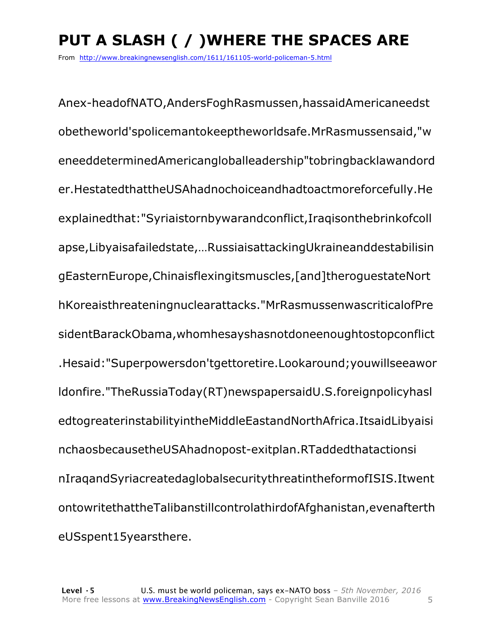# **PUT A SLASH ( / )WHERE THE SPACES ARE**

From http://www.breakingnewsenglish.com/1611/161105-world-policeman-5.html

Anex-headofNATO,AndersFoghRasmussen,hassaidAmericaneedst obetheworld'spolicemantokeeptheworldsafe.MrRasmussensaid,"w eneeddeterminedAmericangloballeadership"tobringbacklawandord er.HestatedthattheUSAhadnochoiceandhadtoactmoreforcefully.He explainedthat:"Syriaistornbywarandconflict,Iraqisonthebrinkofcoll apse,Libyaisafailedstate,…RussiaisattackingUkraineanddestabilisin gEasternEurope,Chinaisflexingitsmuscles,[and]theroguestateNort hKoreaisthreateningnuclearattacks."MrRasmussenwascriticalofPre sidentBarackObama,whomhesayshasnotdoneenoughtostopconflict .Hesaid:"Superpowersdon'tgettoretire.Lookaround;youwillseeawor ldonfire."TheRussiaToday(RT)newspapersaidU.S.foreignpolicyhasl edtogreaterinstabilityintheMiddleEastandNorthAfrica.ItsaidLibyaisi nchaosbecausetheUSAhadnopost-exitplan.RTaddedthatactionsi nIraqandSyriacreatedaglobalsecuritythreatintheformofISIS.Itwent ontowritethattheTalibanstillcontrolathirdofAfghanistan,evenafterth eUSspent15yearsthere.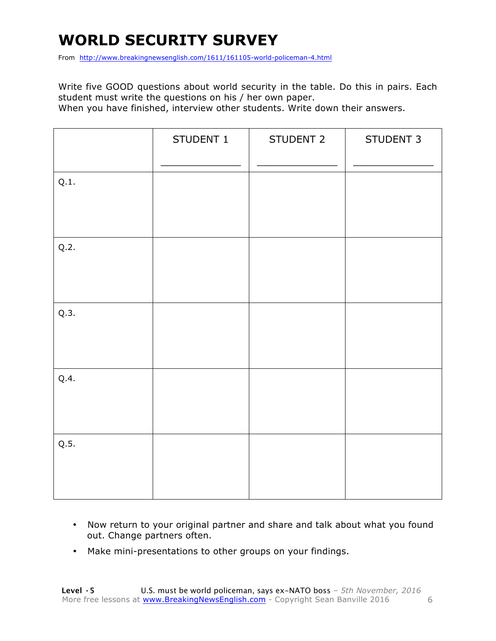# **WORLD SECURITY SURVEY**

From http://www.breakingnewsenglish.com/1611/161105-world-policeman-4.html

Write five GOOD questions about world security in the table. Do this in pairs. Each student must write the questions on his / her own paper.

When you have finished, interview other students. Write down their answers.

|      | STUDENT 1 | STUDENT 2 | STUDENT 3 |
|------|-----------|-----------|-----------|
| Q.1. |           |           |           |
| Q.2. |           |           |           |
| Q.3. |           |           |           |
| Q.4. |           |           |           |
| Q.5. |           |           |           |

- Now return to your original partner and share and talk about what you found out. Change partners often.
- Make mini-presentations to other groups on your findings.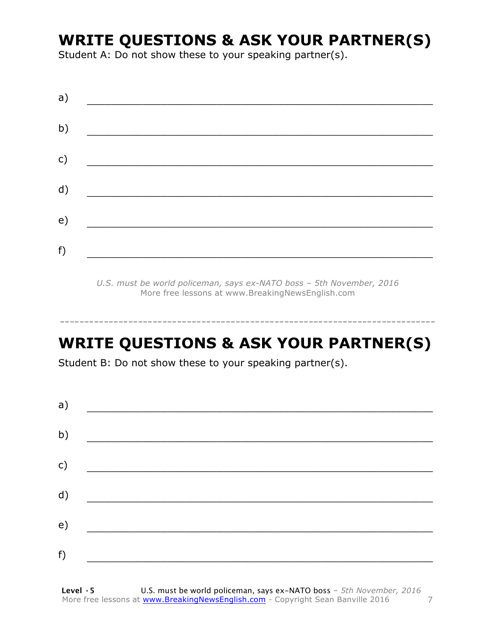### **WRITE QUESTIONS & ASK YOUR PARTNER(S)**

Student A: Do not show these to your speaking partner(s).

| a)           |  |  |
|--------------|--|--|
| b)           |  |  |
| $\mathsf{C}$ |  |  |
| d)           |  |  |
| e)           |  |  |
| f)           |  |  |
|              |  |  |

*U.S. must be world policeman, says ex-NATO boss – 5th November, 2016* More free lessons at www.BreakingNewsEnglish.com

# **WRITE QUESTIONS & ASK YOUR PARTNER(S)**

-----------------------------------------------------------------------------

Student B: Do not show these to your speaking partner(s).

| a) |  |  |
|----|--|--|
| b) |  |  |
| c) |  |  |
| d) |  |  |
| e) |  |  |
|    |  |  |
| f) |  |  |